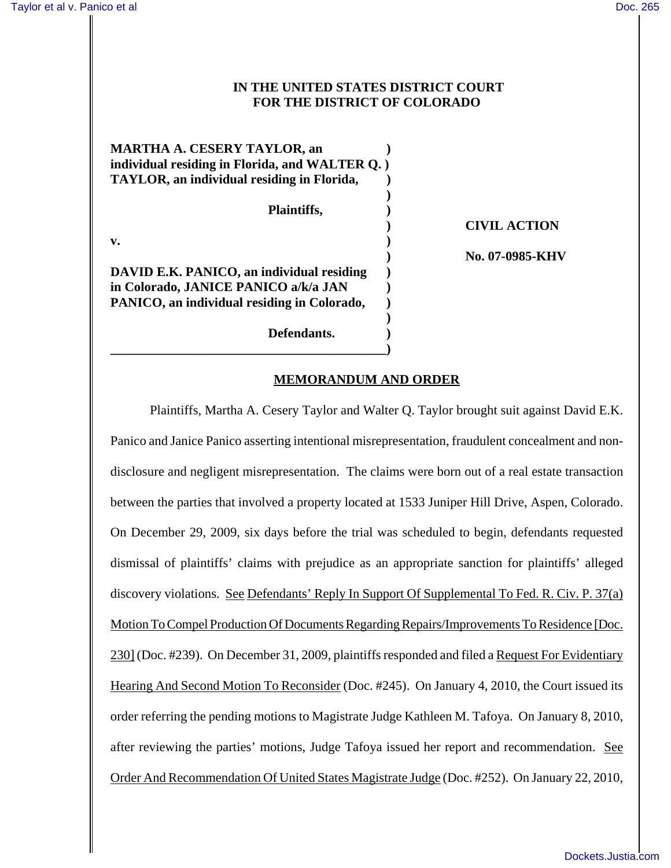## **IN THE UNITED STATES DISTRICT COURT FOR THE DISTRICT OF COLORADO**

| <b>MARTHA A. CESERY TAYLOR, an</b><br>individual residing in Florida, and WALTER Q.) |  |
|--------------------------------------------------------------------------------------|--|
| TAYLOR, an individual residing in Florida,                                           |  |
|                                                                                      |  |
| Plaintiffs,                                                                          |  |
|                                                                                      |  |
| v.                                                                                   |  |
|                                                                                      |  |
| DAVID E.K. PANICO, an individual residing                                            |  |
| in Colorado, JANICE PANICO a/k/a JAN                                                 |  |
| PANICO, an individual residing in Colorado,                                          |  |
|                                                                                      |  |
| Defendants.                                                                          |  |

**\_\_\_\_\_\_\_\_\_\_\_\_\_\_\_\_\_\_\_\_\_\_\_\_\_\_\_\_\_\_\_\_\_\_\_\_\_\_\_\_\_\_)**

**) CIVIL ACTION**

**) No. 07-0985-KHV**

## **MEMORANDUM AND ORDER**

Plaintiffs, Martha A. Cesery Taylor and Walter Q. Taylor brought suit against David E.K. Panico and Janice Panico asserting intentional misrepresentation, fraudulent concealment and nondisclosure and negligent misrepresentation. The claims were born out of a real estate transaction between the parties that involved a property located at 1533 Juniper Hill Drive, Aspen, Colorado. On December 29, 2009, six days before the trial was scheduled to begin, defendants requested dismissal of plaintiffs' claims with prejudice as an appropriate sanction for plaintiffs' alleged discovery violations. See Defendants' Reply In Support Of Supplemental To Fed. R. Civ. P. 37(a) Motion To Compel Production Of Documents Regarding Repairs/Improvements To Residence [Doc. 230] (Doc. #239). On December 31, 2009, plaintiffs responded and filed a Request For Evidentiary Hearing And Second Motion To Reconsider (Doc. #245). On January 4, 2010, the Court issued its order referring the pending motions to Magistrate Judge Kathleen M. Tafoya. On January 8, 2010, after reviewing the parties' motions, Judge Tafoya issued her report and recommendation. See Order And Recommendation Of United States Magistrate Judge (Doc. #252). On January 22, 2010,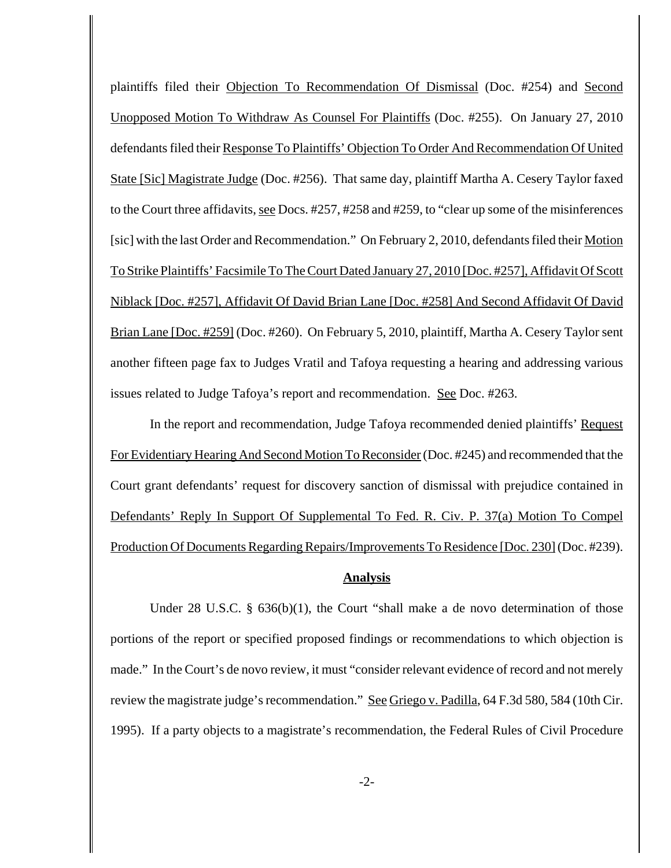plaintiffs filed their Objection To Recommendation Of Dismissal (Doc. #254) and Second Unopposed Motion To Withdraw As Counsel For Plaintiffs (Doc. #255). On January 27, 2010 defendants filed their Response To Plaintiffs' Objection To Order And Recommendation Of United State [Sic] Magistrate Judge (Doc. #256). That same day, plaintiff Martha A. Cesery Taylor faxed to the Court three affidavits, see Docs. #257, #258 and #259, to "clear up some of the misinferences [sic] with the last Order and Recommendation." On February 2, 2010, defendants filed their Motion To Strike Plaintiffs' Facsimile To The Court Dated January 27, 2010 [Doc. #257], Affidavit Of Scott Niblack [Doc. #257], Affidavit Of David Brian Lane [Doc. #258] And Second Affidavit Of David Brian Lane [Doc. #259] (Doc. #260). On February 5, 2010, plaintiff, Martha A. Cesery Taylor sent another fifteen page fax to Judges Vratil and Tafoya requesting a hearing and addressing various issues related to Judge Tafoya's report and recommendation. See Doc. #263.

In the report and recommendation, Judge Tafoya recommended denied plaintiffs' Request For Evidentiary Hearing And Second Motion To Reconsider (Doc. #245) and recommended that the Court grant defendants' request for discovery sanction of dismissal with prejudice contained in Defendants' Reply In Support Of Supplemental To Fed. R. Civ. P. 37(a) Motion To Compel Production Of Documents Regarding Repairs/Improvements To Residence [Doc. 230] (Doc. #239).

## **Analysis**

Under 28 U.S.C. § 636(b)(1), the Court "shall make a de novo determination of those portions of the report or specified proposed findings or recommendations to which objection is made." In the Court's de novo review, it must "consider relevant evidence of record and not merely review the magistrate judge's recommendation." See Griego v. Padilla, 64 F.3d 580, 584 (10th Cir. 1995). If a party objects to a magistrate's recommendation, the Federal Rules of Civil Procedure